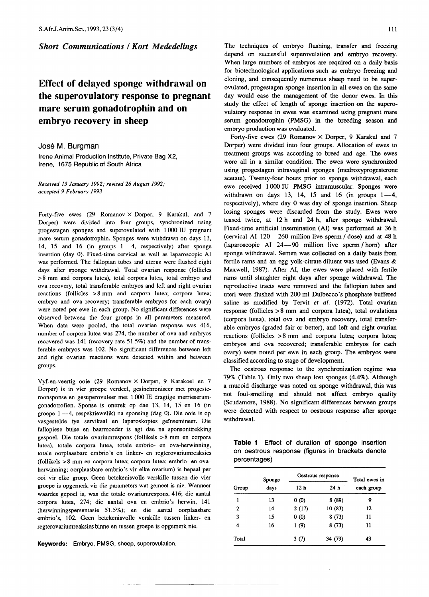**Short Communications / Kort Mededelings** 

## **Effect of delayed sponge withdrawal on the superovulatory response to pregnant mare serum gonadotrophin and on embryo recovery in sheep**

## Jose M. **Burgman**

Irene Animal Production Institute, Private Bag X2, Irene, 1675 Republic of South Africa

*Received* 13 *January* 1992; *revised* 26 *August 1992; accepted* 9 *February 1993*

Forty-five ewes (29 Romanov  $\times$  Dorper, 9 Karakul, and 7 Dorper) were divided into four groups, synchronized using progestagen sponges and superovulated with 1000 IV pregnant mare serum gonadotrophin. Sponges were withdrawn on days 13, 14, 15 and 16 (in groups  $1-4$ , respectively) after sponge insertion (day 0). Fixed-time cervical as well as laparoscopic AI was performed. The fallopian tubes and uterus were flushed eight days after sponge withdrawal. Total ovarian response (follicles > 8 mm and corpora lutea), total corpora lutea, total embryo and ova recovery, total transferable embryos and left and right ovarian reactions (follicles > 8 mm and corpora lutea; corpora lutea; embryo and ova recovery; transferable embryos for each ovary) were noted per ewe in each group. No significant differences were observed between the four groups in all parameters measured. When data were pooled, the total ovarian response was 416, number of corpora lutea was 274, the number of ova and embryos recovered was 141 (recovery rate 51.5%) and the number of transferable embryos was 102. No significant differences between left and right ovarian reactions were detected within and between groups.

Vyf-en-veertig ooie (29 Romanov X Dorper, 9 Karakoel en 7 Dorper) is in vier groepe verdeel, gesinchroniseer met progesteroonsponse en gesuperovuleer met 1000 IE dragtige merrieserumgonadotrofien. Sponse is onttrek op dae 13, 14, 15 en 16 (in groepe 1-4, respektiewelik) na sponsing (dag 0). Die ooie is op vasgestelde tye servikaal en laparoskopies geïnsemineer. Die fallopiese buise en baarmoeder is agt dae na sponsonttrekking gespoel. Die totale ovariumrespons (follikels > 8 mm en corpora lutea), totale corpora lutea, totale embrio- en ova-herwinning, totale oorplaasbare embrio's en linker- en regterovariumreaksies (follikels >8 mm en corpora lutea; corpora lutea; embrio- en ovaherwinning; oorplaasbare embrio's vir elke ovarium) is bepaal per ooi vir elke groep. Geen betekenisvolle verskille tussen die vier groepe is opgemerk vir die parameters wat gemeet is nie. Wanneer waardes gepoel is, was die totale ovariumrespons, 416; die aantal corpora lutea, 274; die aantal ova en embrio's herwin, 141 (herwinningspersentasie 51.5%); en die aantal oorplaasbare embrio's, 102. Geen betekenisvolle verskille tussen linker- en regterovariumreaksies binne en tussen groepe is opgemerk nie.

Keywords: Embryo, PMSG, sheep, superovulation.

The techniques of embryo flushing, transfer and freezing depend on successful superovulation and embryo recovery. When large numbers of embryos are required on a daily basis for biotechnological applications such as embryo freezing and cloning, and consequently numerous sheep need to be superovulated, progestagen sponge insertion in all ewes on the same day would ease the management of the donor ewes. In this study the effect of length of sponge insertion on the superovulatory response in ewes was examined using pregnant mare serum gonadotrophin (PMSG) in the breeding season and embryo production was evaluated.

Forty-five ewes (29 Romanov X Dorper, 9 Karakul and 7 Dorper) were divided into four groups. Allocation of ewes to treatment groups was according to breed and age. The ewes were all in a similar condition. The ewes were synchronized using progestagen intravaginal sponges (medroxyprogesterone acetate). Twenty-four hours prior to sponge withdrawal, each ewe received 1000 IV PMSG intramuscular. Sponges were withdrawn on days 13, 14, 15 and 16 (in groups  $1-4$ , respectively), where day 0 was day of sponge insertion. Sheep losing sponges were discarded from the study. Ewes were teased twice, at 12 h and 24 h, after sponge withdrawal. Fixed-time artificial insemination (AI) was performed at 36 h (cervical AI 120-260 million live sperm / dose) and at 48 h (laparoscopic AI  $24-90$  million live sperm / horn) after sponge withdrawal. Semen was collected on a daily basis from fertile rams and an egg yolk-citrate diluent was used (Evans & Maxwell, 1987). After AI, the ewes were placed with fertile rams until slaughter eight days after sponge withdrawal. The reproductive tracts were removed and the fallopian tubes and uteri were flushed with 200 ml Dulbecco's phosphate buffered saline as modified by Tervit *et al.* (1972). Total ovarian response (follicles  $> 8$  mm and corpora lutea), total ovulations (corpora lutea), total ova and embryo recovery, total transferable embryos (graded fair or better), and left and right ovarian reactions (follicles > 8 mm and corpora lutea; corpora lutea; embryos and ova recovered; transferable embryos for each ovary) were noted per ewe in each group. The embryos were classified according to stage of development.

The oestrous response to the synchronization regime was 79% (Table 1). Only two sheep lost sponges (4.4%). Although a mucoid discharge was noted on sponge withdrawal, this was not foul-smelling and should not affect embryo quality (Scudamore, 1988). No significant differences between groups were detected with respect to oestrous response after sponge withdrawal.

**Table 1** Effect of duration of sponge insertion on oestrous response (figures in brackets denote percentages)

|       | Sponge | Oestrous response | Total ewes in   |            |  |
|-------|--------|-------------------|-----------------|------------|--|
| Group | days   | 12 h              | 24 <sub>h</sub> | each group |  |
| 1     | 13     | 0(0)              | 8(89)           | 9          |  |
| 2     | 14     | 2(17)             | 10(83)          | 12         |  |
| 3     | 15     | 0(0)              | 8(73)           | 11         |  |
| 4     | 16     | 1(9)              | 8(73)           | 11         |  |
| Total |        | 3(7)              | 34 (79)         | 43         |  |